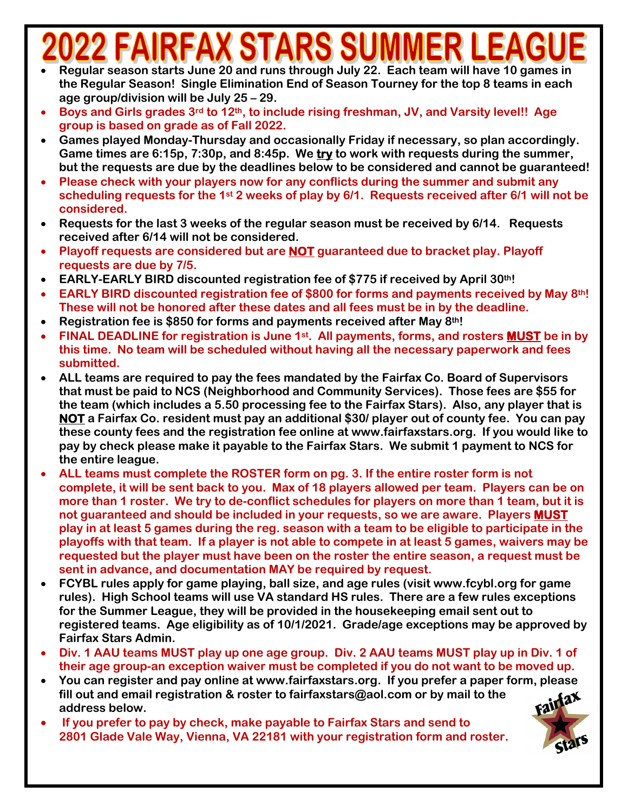## **RFAX STARS SUMI**

- **Regular season starts June 20 and runs through July 22. Each team will have 10 games in the Regular Season! Single Elimination End of Season Tourney for the top 8 teams in each age group/division will be July 25 – 29.**
- **Boys and Girls grades 3rd to 12th, to include rising freshman, JV, and Varsity level!! Age group is based on grade as of Fall 2022.**
- **Games played Monday-Thursday and occasionally Friday if necessary, so plan accordingly. Game times are 6:15p, 7:30p, and 8:45p. We try to work with requests during the summer, but the requests are due by the deadlines below to be considered and cannot be guaranteed!**
- **Please check with your players now for any conflicts during the summer and submit any scheduling requests for the 1st 2 weeks of play by 6/1. Requests received after 6/1 will not be considered.**
- **Requests for the last 3 weeks of the regular season must be received by 6/14. Requests received after 6/14 will not be considered.**
- **Playoff requests are considered but are NOT guaranteed due to bracket play. Playoff requests are due by 7/5.**
- **EARLY-EARLY BIRD discounted registration fee of \$775 if received by April 30th!**
- **EARLY BIRD discounted registration fee of \$800 for forms and payments received by May 8th! These will not be honored after these dates and all fees must be in by the deadline.**
- **Registration fee is \$850 for forms and payments received after May 8th!**
- **FINAL DEADLINE for registration is June 1st. All payments, forms, and rosters MUST be in by this time. No team will be scheduled without having all the necessary paperwork and fees submitted.**
- **ALL teams are required to pay the fees mandated by the Fairfax Co. Board of Supervisors that must be paid to NCS (Neighborhood and Community Services). Those fees are \$55 for the team (which includes a 5.50 processing fee to the Fairfax Stars). Also, any player that is NOT a Fairfax Co. resident must pay an additional \$30/ player out of county fee. You can pay these county fees and the registration fee online at www.fairfaxstars.org. If you would like to pay by check please make it payable to the Fairfax Stars. We submit 1 payment to NCS for the entire league.**
- **ALL teams must complete the ROSTER form on pg. 3. If the entire roster form is not complete, it will be sent back to you. Max of 18 players allowed per team. Players can be on more than 1 roster. We try to de-conflict schedules for players on more than 1 team, but it is not guaranteed and should be included in your requests, so we are aware. Players MUST play in at least 5 games during the reg. season with a team to be eligible to participate in the playoffs with that team. If a player is not able to compete in at least 5 games, waivers may be requested but the player must have been on the roster the entire season, a request must be sent in advance, and documentation MAY be required by request.**
- **FCYBL rules apply for game playing, ball size, and age rules (visit www.fcybl.org for game rules). High School teams will use VA standard HS rules. There are a few rules exceptions for the Summer League, they will be provided in the housekeeping email sent out to registered teams. Age eligibility as of 10/1/2021. Grade/age exceptions may be approved by Fairfax Stars Admin.**
- **Div. 1 AAU teams MUST play up one age group. Div. 2 AAU teams MUST play up in Div. 1 of their age group-an exception waiver must be completed if you do not want to be moved up.**
- **You can register and pay online at www.fairfaxstars.org. If you prefer a paper form, please fill out and email registration & roster to fairfaxstars@aol.com or by mail to the address below.**
- **If you prefer to pay by check, make payable to Fairfax Stars and send to 2801 Glade Vale Way, Vienna, VA 22181 with your registration form and roster.**

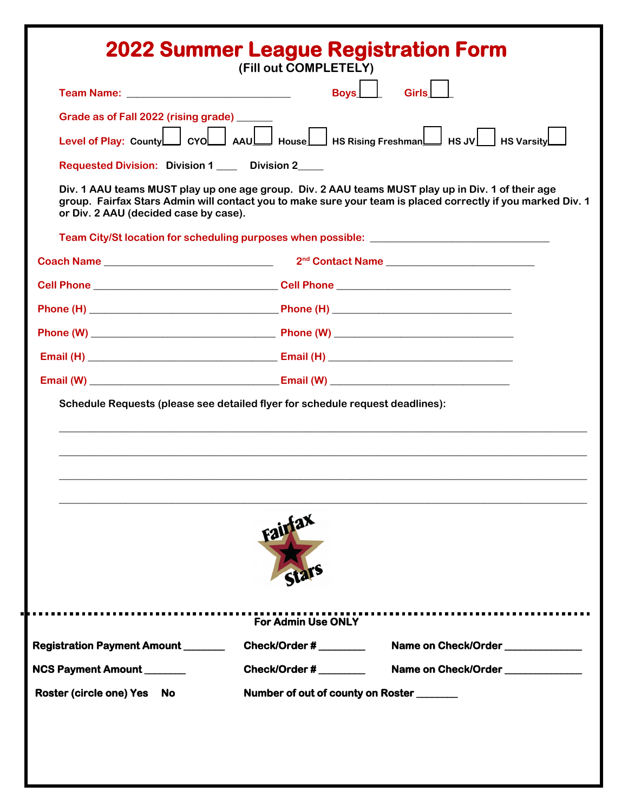| <b>2022 Summer League Registration Form</b>                                   | (Fill out COMPLETELY)     |                                                                                                                                                                                                                  |  |  |  |
|-------------------------------------------------------------------------------|---------------------------|------------------------------------------------------------------------------------------------------------------------------------------------------------------------------------------------------------------|--|--|--|
| Team Name: __________________________________                                 |                           | <b>Boys</b><br>Girls                                                                                                                                                                                             |  |  |  |
| Grade as of Fall 2022 (rising grade) _____                                    |                           |                                                                                                                                                                                                                  |  |  |  |
|                                                                               |                           | Level of Play: County CVO AAU House HS Rising Freshman HS JV HS Varsity                                                                                                                                          |  |  |  |
| Requested Division: Division 1 ____ Division 2____                            |                           |                                                                                                                                                                                                                  |  |  |  |
| or Div. 2 AAU (decided case by case).                                         |                           | Div. 1 AAU teams MUST play up one age group. Div. 2 AAU teams MUST play up in Div. 1 of their age<br>group. Fairfax Stars Admin will contact you to make sure your team is placed correctly if you marked Div. 1 |  |  |  |
|                                                                               |                           |                                                                                                                                                                                                                  |  |  |  |
|                                                                               |                           | 2 <sup>nd</sup> Contact Name                                                                                                                                                                                     |  |  |  |
|                                                                               |                           |                                                                                                                                                                                                                  |  |  |  |
|                                                                               |                           |                                                                                                                                                                                                                  |  |  |  |
|                                                                               |                           |                                                                                                                                                                                                                  |  |  |  |
|                                                                               |                           |                                                                                                                                                                                                                  |  |  |  |
|                                                                               |                           |                                                                                                                                                                                                                  |  |  |  |
| Schedule Requests (please see detailed flyer for schedule request deadlines): |                           |                                                                                                                                                                                                                  |  |  |  |
|                                                                               | Fairfax                   |                                                                                                                                                                                                                  |  |  |  |
|                                                                               | <b>For Admin Use ONLY</b> |                                                                                                                                                                                                                  |  |  |  |
| <b>Registration Payment Amount</b> _______                                    | Check/Order #             | Name on Check/Order                                                                                                                                                                                              |  |  |  |
| NCS Payment Amount                                                            | Check/Order # _________   | Name on Check/Order                                                                                                                                                                                              |  |  |  |